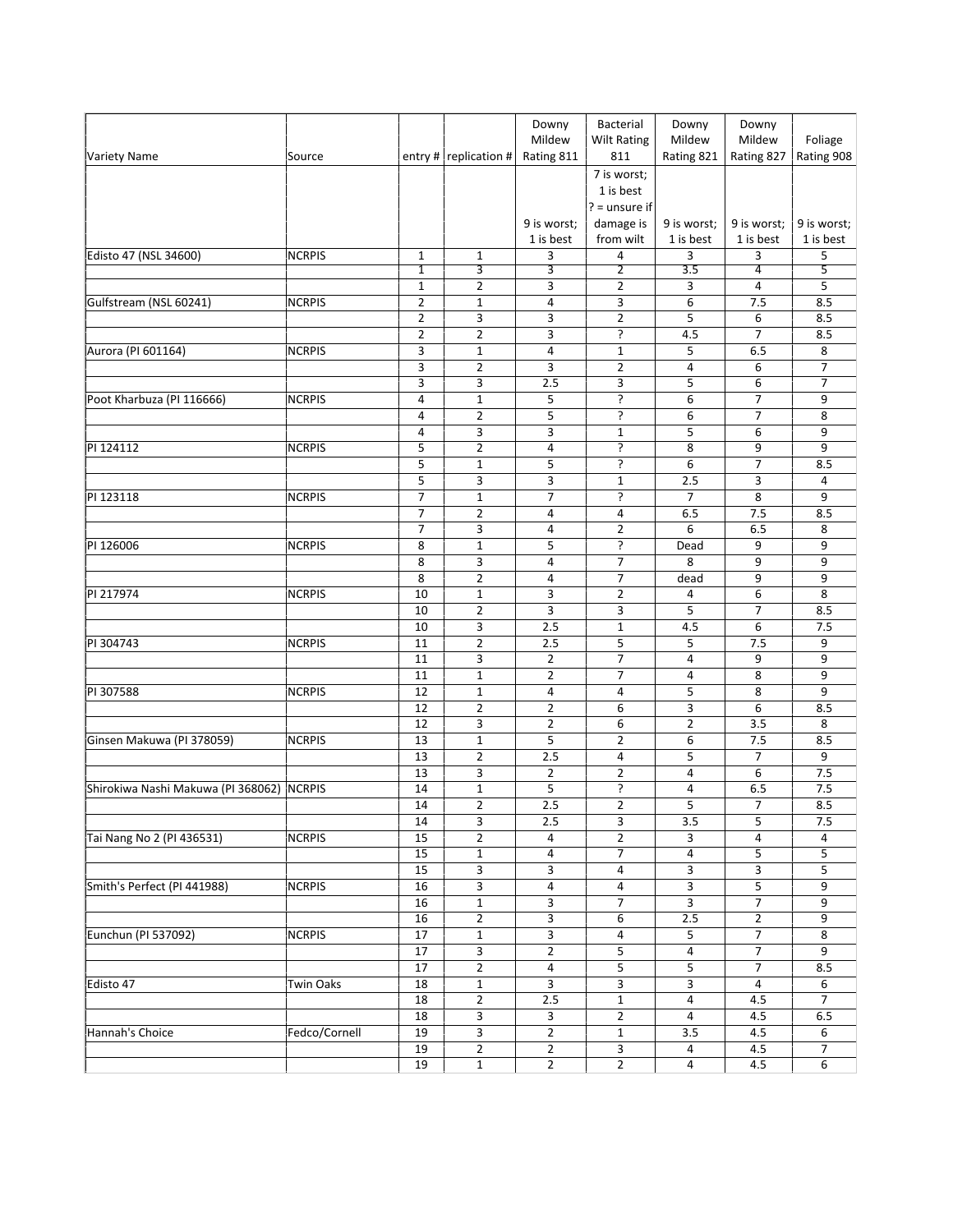|                                           |                  |                |                               | Downy<br>Mildew                  | Bacterial<br><b>Wilt Rating</b>             | Downy<br>Mildew          | Downy<br>Mildew          | Foliage                  |
|-------------------------------------------|------------------|----------------|-------------------------------|----------------------------------|---------------------------------------------|--------------------------|--------------------------|--------------------------|
| Variety Name                              | Source           |                | entry #   replication #       | Rating 811                       | 811                                         | Rating 821               | Rating 827               | Rating 908               |
|                                           |                  |                |                               |                                  | 7 is worst;<br>1 is best<br>$? =$ unsure if |                          |                          |                          |
|                                           |                  |                |                               | 9 is worst;<br>1 is best         | damage is<br>from wilt                      | 9 is worst;<br>1 is best | 9 is worst;<br>1 is best | 9 is worst;<br>1 is best |
| Edisto 47 (NSL 34600)                     | <b>NCRPIS</b>    | $\mathbf{1}$   | $\mathbf{1}$                  | 3                                | 4                                           | 3                        | 3                        | 5                        |
|                                           |                  | $\mathbf{1}$   | 3                             | 3                                | $\overline{2}$                              | 3.5                      | 4                        | 5                        |
|                                           |                  | $1\,$          | $\overline{2}$                | 3                                | $\overline{2}$                              | 3                        | 4                        | 5                        |
| Gulfstream (NSL 60241)                    | <b>NCRPIS</b>    | $\mathbf 2$    | $\mathbf{1}$                  | 4                                | 3                                           | 6                        | 7.5                      | 8.5                      |
|                                           |                  | $\overline{2}$ | 3                             | 3                                | $\overline{2}$                              | 5                        | 6                        | 8.5                      |
|                                           |                  | $\overline{2}$ | $\overline{2}$                | 3                                | ?                                           | 4.5                      | $\overline{7}$           | 8.5                      |
| Aurora (PI 601164)                        | <b>NCRPIS</b>    | 3              | $\mathbf{1}$                  | $\overline{4}$                   | $\mathbf 1$                                 | 5                        | 6.5                      | 8                        |
|                                           |                  | 3              | $\overline{2}$                | 3                                | $\overline{2}$                              | 4                        | 6                        | 7                        |
|                                           |                  | 3              | 3                             | 2.5                              | 3                                           | 5                        | 6                        | 7                        |
| Poot Kharbuza (PI 116666)                 | <b>NCRPIS</b>    | $\overline{4}$ | $\mathbf{1}$                  | 5                                | ?                                           | 6                        | 7                        | 9                        |
|                                           |                  | 4              | $\overline{2}$                | 5                                | ?                                           | 6                        | 7                        | 8                        |
| PI 124112                                 |                  | 4              | 3                             | 3<br>$\sqrt{4}$                  | $1\,$                                       | 5                        | 6                        | 9                        |
|                                           | <b>NCRPIS</b>    | 5<br>5         | $\overline{2}$<br>$\mathbf 1$ | 5                                | ?<br>ŗ                                      | 8<br>6                   | 9<br>7                   | 9<br>8.5                 |
|                                           |                  | 5              | 3                             | 3                                | $\mathbf 1$                                 | 2.5                      | 3                        | 4                        |
| PI 123118                                 | <b>NCRPIS</b>    | $\overline{7}$ | $\mathbf{1}$                  | 7                                | ŗ.                                          | $\overline{7}$           | 8                        | 9                        |
|                                           |                  | $\overline{7}$ | $\overline{2}$                | 4                                | 4                                           | 6.5                      | 7.5                      | 8.5                      |
|                                           |                  | $\overline{7}$ | 3                             | 4                                | $\overline{2}$                              | 6                        | 6.5                      | 8                        |
| PI 126006                                 | <b>NCRPIS</b>    | 8              | $\mathbf{1}$                  | 5                                | ?                                           | Dead                     | 9                        | 9                        |
|                                           |                  | 8              | 3                             | 4                                | 7                                           | 8                        | 9                        | 9                        |
|                                           |                  | 8              | $\overline{2}$                | $\sqrt{4}$                       | $\overline{7}$                              | dead                     | 9                        | 9                        |
| PI 217974                                 | <b>NCRPIS</b>    | 10             | $\mathbf{1}$                  | 3                                | $\overline{2}$                              | 4                        | 6                        | 8                        |
|                                           |                  | 10             | $\overline{2}$                | 3                                | 3                                           | 5                        | 7                        | 8.5                      |
|                                           |                  | 10             | 3                             | 2.5                              | $\mathbf{1}$                                | 4.5                      | 6                        | 7.5                      |
| PI 304743                                 | <b>NCRPIS</b>    | 11             | $\mathbf 2$                   | 2.5                              | 5                                           | 5                        | 7.5                      | 9                        |
|                                           |                  | 11             | 3                             | $\overline{2}$                   | $\overline{7}$                              | $\overline{4}$           | 9                        | 9                        |
|                                           |                  | 11             | $\mathbf 1$                   | $\overline{2}$                   | $\overline{7}$                              | 4                        | 8                        | 9                        |
| PI 307588                                 | <b>NCRPIS</b>    | 12             | $\mathbf{1}$                  | 4                                | 4                                           | 5                        | 8                        | 9                        |
|                                           |                  | 12             | $\overline{2}$                | $\overline{2}$                   | 6                                           | 3                        | 6                        | 8.5                      |
|                                           |                  | 12             | 3                             | $\overline{2}$                   | 6                                           | $\overline{2}$           | 3.5                      | 8                        |
| Ginsen Makuwa (PI 378059)                 | <b>NCRPIS</b>    | 13             | $\mathbf 1$                   | 5                                | $\overline{2}$                              | 6                        | 7.5                      | 8.5                      |
|                                           |                  | 13             | 2                             | 2.5                              | 4                                           | 5                        | 7                        | 9                        |
|                                           |                  | 13<br>14       | 3                             | $\overline{2}$<br>$\overline{5}$ | $\overline{2}$<br>?                         | 4                        | $\overline{6}$           | 7.5                      |
| Shirokiwa Nashi Makuwa (PI 368062) NCRPIS |                  | 14             | $\mathbf 1$<br>$\overline{2}$ | 2.5                              | 2                                           | 4<br>5                   | 6.5<br>7                 | 7.5<br>8.5               |
|                                           |                  | 14             | 3                             | 2.5                              | $\overline{3}$                              | 3.5                      | 5                        | 7.5                      |
| Tai Nang No 2 (PI 436531)                 | <b>NCRPIS</b>    | 15             | $\overline{2}$                | 4                                | $\overline{2}$                              | 3                        | $\overline{4}$           | 4                        |
|                                           |                  | 15             | $\mathbf 1$                   | $\overline{4}$                   | $\boldsymbol{7}$                            | $\overline{\mathbf{4}}$  | 5                        | 5                        |
|                                           |                  | 15             | 3                             | 3                                | 4                                           | 3                        | $\overline{3}$           | 5                        |
| Smith's Perfect (PI 441988)               | <b>NCRPIS</b>    | 16             | 3                             | $\pmb{4}$                        | 4                                           | $\overline{3}$           | 5                        | 9                        |
|                                           |                  | 16             | $\mathbf 1$                   | 3                                | $\overline{7}$                              | 3                        | $\overline{7}$           | 9                        |
|                                           |                  | 16             | $\overline{2}$                | 3                                | 6                                           | 2.5                      | $\overline{2}$           | 9                        |
| Eunchun (PI 537092)                       | <b>NCRPIS</b>    | 17             | $\mathbf{1}$                  | 3                                | 4                                           | 5                        | $\overline{7}$           | 8                        |
|                                           |                  | 17             | $\overline{3}$                | $\overline{2}$                   | 5                                           | $\overline{\mathbf{4}}$  | $\overline{7}$           | 9                        |
|                                           |                  | $17\,$         | $\overline{2}$                | $\overline{\mathbf{4}}$          | $\overline{5}$                              | 5                        | $\overline{7}$           | 8.5                      |
| Edisto 47                                 | <b>Twin Oaks</b> | 18             | $\mathbf 1$                   | $\overline{3}$                   | 3                                           | 3                        | $\pmb{4}$                | 6                        |
|                                           |                  | 18             | $\overline{2}$                | 2.5                              | $\mathbf{1}$                                | 4                        | 4.5                      | $\overline{7}$           |
|                                           |                  | 18             | 3                             | 3                                | $\overline{2}$                              | 4                        | 4.5                      | 6.5                      |
| Hannah's Choice                           | Fedco/Cornell    | 19             | 3                             | $\overline{2}$                   | $\mathbf 1$                                 | 3.5                      | 4.5                      | 6                        |
|                                           |                  | 19             | $\overline{2}$                | $\overline{2}$                   | $\overline{3}$                              | 4                        | 4.5                      | $\overline{7}$           |
|                                           |                  | 19             | $\mathbf{1}$                  | $\overline{2}$                   | $\overline{2}$                              | 4                        | 4.5                      | 6                        |